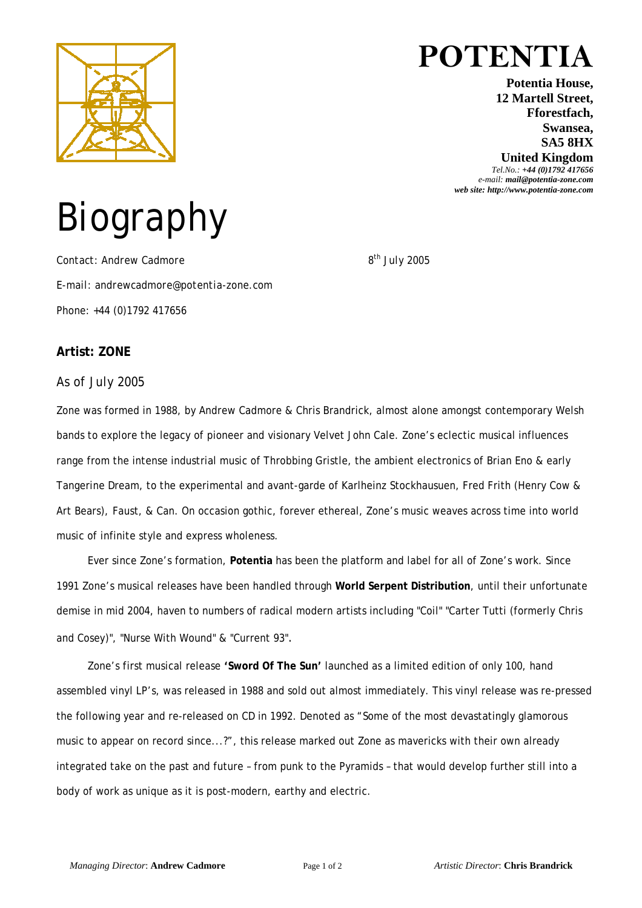

## **POTENTIA**

**Potentia House, 12 Martell Street, Fforestfach, Swansea, SA5 8HX United Kingdom**

*Tel.No.: +44 (0)1792 417656 e-mail: mail@potentia-zone.com web site: http://www.potentia-zone.com* 

# Biography

*Contact: Andrew Cadmore 8th July 2005 E-mail: andrewcadmore@potentia-zone.com Phone: +44 (0)1792 417656*

#### **Artist: ZONE**

*As of July 2005* 

Zone was formed in 1988, by Andrew Cadmore & Chris Brandrick, almost alone amongst contemporary Welsh bands to explore the legacy of pioneer and visionary Velvet John Cale. Zone's eclectic musical influences range from the intense industrial music of Throbbing Gristle, the ambient electronics of Brian Eno & early Tangerine Dream, to the experimental and avant-garde of Karlheinz Stockhausuen, Fred Frith (Henry Cow & Art Bears), Faust, & Can. On occasion gothic, forever ethereal, Zone's music weaves across time into world music of infinite style and express wholeness.

Ever since Zone's formation, **Potentia** has been the platform and label for all of Zone's work. Since 1991 Zone's musical releases have been handled through **World Serpent Distribution**, until their unfortunate demise in mid 2004, haven to numbers of radical modern artists including "Coil" "Carter Tutti (formerly Chris and Cosey)", "Nurse With Wound" & "Current 93".

Zone's first musical release **'Sword Of The Sun'** launched as a limited edition of only 100, hand assembled vinyl LP's, was released in 1988 and sold out almost immediately. This vinyl release was re-pressed the following year and re-released on CD in 1992. Denoted as "Some of the most devastatingly glamorous music to appear on record since...?", this release marked out Zone as mavericks with their own already integrated take on the past and future – from punk to the Pyramids – that would develop further still into a body of work as unique as it is post-modern, earthy and electric.